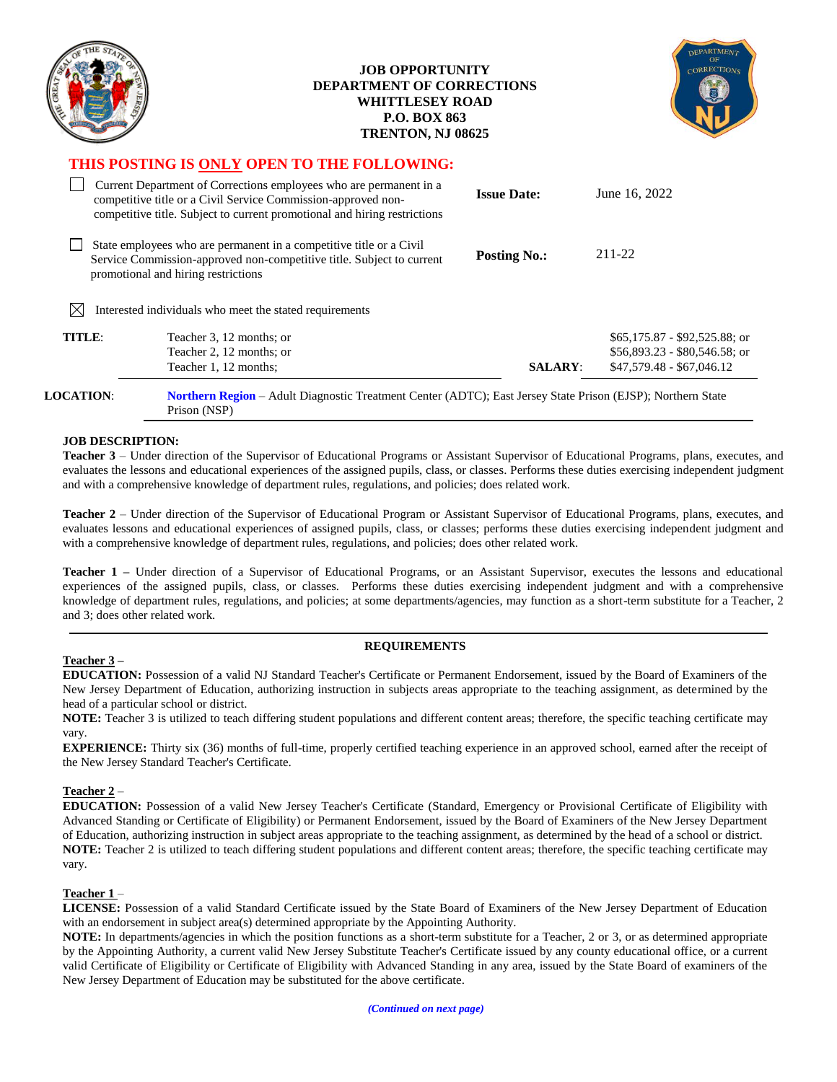|                                             |                                                                                                                                                                                                                  | <b>JOB OPPORTUNITY</b><br><b>DEPARTMENT OF CORRECTIONS</b><br><b>WHITTLESEY ROAD</b><br><b>P.O. BOX 863</b><br>TRENTON, NJ 08625 |                                                                                              |
|---------------------------------------------|------------------------------------------------------------------------------------------------------------------------------------------------------------------------------------------------------------------|----------------------------------------------------------------------------------------------------------------------------------|----------------------------------------------------------------------------------------------|
| THIS POSTING IS ONLY OPEN TO THE FOLLOWING: |                                                                                                                                                                                                                  |                                                                                                                                  |                                                                                              |
|                                             | Current Department of Corrections employees who are permanent in a<br>competitive title or a Civil Service Commission-approved non-<br>competitive title. Subject to current promotional and hiring restrictions | <b>Issue Date:</b>                                                                                                               | June 16, 2022                                                                                |
|                                             | State employees who are permanent in a competitive title or a Civil<br>Service Commission-approved non-competitive title. Subject to current<br>promotional and hiring restrictions                              | <b>Posting No.:</b>                                                                                                              | 211-22                                                                                       |
| $\boxtimes$                                 | Interested individuals who meet the stated requirements                                                                                                                                                          |                                                                                                                                  |                                                                                              |
| TITLE:                                      | Teacher 3, 12 months; or<br>Teacher 2, 12 months; or<br>Teacher 1, 12 months;                                                                                                                                    | <b>SALARY:</b>                                                                                                                   | \$65,175.87 - \$92,525.88; or<br>$$56,893.23 - $80,546.58$ ; or<br>$$47,579.48 - $67,046.12$ |
| <b>LOCATION:</b>                            | <b>Northern Region</b> – Adult Diagnostic Treatment Center (ADTC); East Jersey State Prison (EJSP); Northern State                                                                                               |                                                                                                                                  |                                                                                              |

Prison (NSP)

#### **JOB DESCRIPTION:**

**Teacher 3** – Under direction of the Supervisor of Educational Programs or Assistant Supervisor of Educational Programs, plans, executes, and evaluates the lessons and educational experiences of the assigned pupils, class, or classes. Performs these duties exercising independent judgment and with a comprehensive knowledge of department rules, regulations, and policies; does related work.

**Teacher 2** – Under direction of the Supervisor of Educational Program or Assistant Supervisor of Educational Programs, plans, executes, and evaluates lessons and educational experiences of assigned pupils, class, or classes; performs these duties exercising independent judgment and with a comprehensive knowledge of department rules, regulations, and policies; does other related work.

**Teacher 1 –** Under direction of a Supervisor of Educational Programs, or an Assistant Supervisor, executes the lessons and educational experiences of the assigned pupils, class, or classes. Performs these duties exercising independent judgment and with a comprehensive knowledge of department rules, regulations, and policies; at some departments/agencies, may function as a short-term substitute for a Teacher, 2 and 3; does other related work.

#### **REQUIREMENTS**

**Teacher 3 –**

**EDUCATION:** Possession of a valid NJ Standard Teacher's Certificate or Permanent Endorsement, issued by the Board of Examiners of the New Jersey Department of Education, authorizing instruction in subjects areas appropriate to the teaching assignment, as determined by the head of a particular school or district.

**NOTE:** Teacher 3 is utilized to teach differing student populations and different content areas; therefore, the specific teaching certificate may vary.

**EXPERIENCE:** Thirty six (36) months of full-time, properly certified teaching experience in an approved school, earned after the receipt of the New Jersey Standard Teacher's Certificate.

### **Teacher 2** –

**EDUCATION:** Possession of a valid New Jersey Teacher's Certificate (Standard, Emergency or Provisional Certificate of Eligibility with Advanced Standing or Certificate of Eligibility) or Permanent Endorsement, issued by the Board of Examiners of the New Jersey Department of Education, authorizing instruction in subject areas appropriate to the teaching assignment, as determined by the head of a school or district. **NOTE:** Teacher 2 is utilized to teach differing student populations and different content areas; therefore, the specific teaching certificate may vary.

#### **Teacher 1** –

**LICENSE:** Possession of a valid Standard Certificate issued by the State Board of Examiners of the New Jersey Department of Education with an endorsement in subject area(s) determined appropriate by the Appointing Authority.

**NOTE:** In departments/agencies in which the position functions as a short-term substitute for a Teacher, 2 or 3, or as determined appropriate by the Appointing Authority, a current valid New Jersey Substitute Teacher's Certificate issued by any county educational office, or a current valid Certificate of Eligibility or Certificate of Eligibility with Advanced Standing in any area, issued by the State Board of examiners of the New Jersey Department of Education may be substituted for the above certificate.